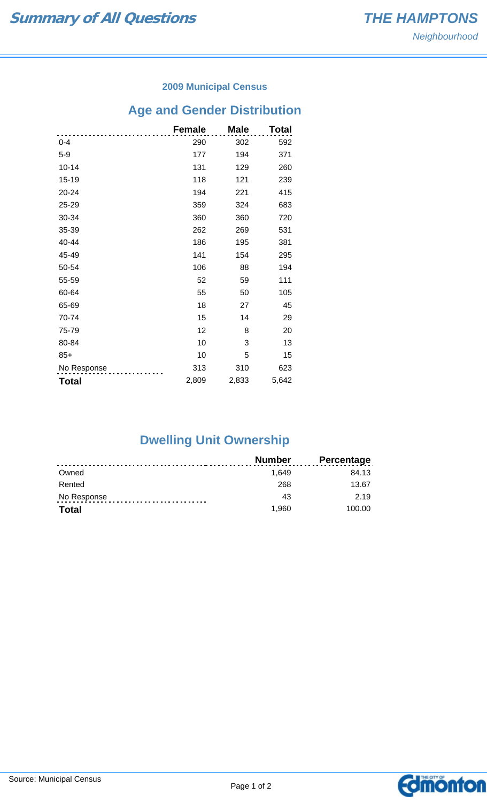#### **2009 Municipal Census**

# **Age and Gender Distribution**

|              | <b>Female</b> | <b>Male</b> | Total |
|--------------|---------------|-------------|-------|
| $0 - 4$      | 290           | 302         | 592   |
| $5-9$        | 177           | 194         | 371   |
| $10 - 14$    | 131           | 129         | 260   |
| 15-19        | 118           | 121         | 239   |
| 20-24        | 194           | 221         | 415   |
| 25-29        | 359           | 324         | 683   |
| 30-34        | 360           | 360         | 720   |
| 35-39        | 262           | 269         | 531   |
| 40-44        | 186           | 195         | 381   |
| 45-49        | 141           | 154         | 295   |
| 50-54        | 106           | 88          | 194   |
| 55-59        | 52            | 59          | 111   |
| 60-64        | 55            | 50          | 105   |
| 65-69        | 18            | 27          | 45    |
| 70-74        | 15            | 14          | 29    |
| 75-79        | 12            | 8           | 20    |
| 80-84        | 10            | 3           | 13    |
| $85+$        | 10            | 5           | 15    |
| No Response  | 313           | 310         | 623   |
| <b>Total</b> | 2,809         | 2,833       | 5,642 |

## **Dwelling Unit Ownership**

|              | <b>Number</b> | <b>Percentage</b> |
|--------------|---------------|-------------------|
| Owned        | 1.649         | 84.13             |
| Rented       | 268           | 13.67             |
| No Response  | 43            | 2.19              |
| <b>Total</b> | 1.960         | 100.00            |